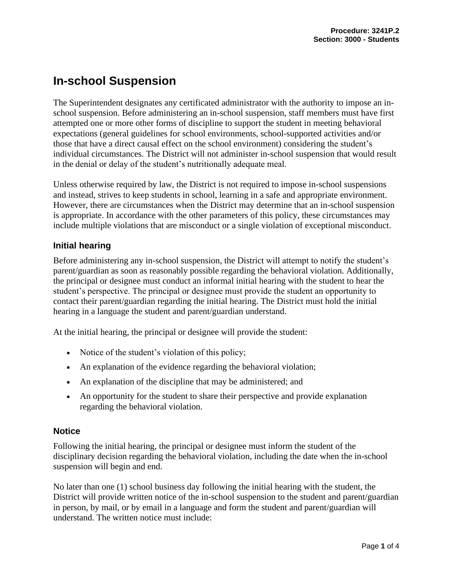# **In-school Suspension**

The Superintendent designates any certificated administrator with the authority to impose an inschool suspension. Before administering an in-school suspension, staff members must have first attempted one or more other forms of discipline to support the student in meeting behavioral expectations (general guidelines for school environments, school-supported activities and/or those that have a direct causal effect on the school environment) considering the student's individual circumstances. The District will not administer in-school suspension that would result in the denial or delay of the student's nutritionally adequate meal.

Unless otherwise required by law, the District is not required to impose in-school suspensions and instead, strives to keep students in school, learning in a safe and appropriate environment. However, there are circumstances when the District may determine that an in-school suspension is appropriate. In accordance with the other parameters of this policy, these circumstances may include multiple violations that are misconduct or a single violation of exceptional misconduct.

# **Initial hearing**

Before administering any in-school suspension, the District will attempt to notify the student's parent/guardian as soon as reasonably possible regarding the behavioral violation. Additionally, the principal or designee must conduct an informal initial hearing with the student to hear the student's perspective. The principal or designee must provide the student an opportunity to contact their parent/guardian regarding the initial hearing. The District must hold the initial hearing in a language the student and parent/guardian understand.

At the initial hearing, the principal or designee will provide the student:

- Notice of the student's violation of this policy;
- An explanation of the evidence regarding the behavioral violation;
- An explanation of the discipline that may be administered; and
- An opportunity for the student to share their perspective and provide explanation regarding the behavioral violation.

# **Notice**

Following the initial hearing, the principal or designee must inform the student of the disciplinary decision regarding the behavioral violation, including the date when the in-school suspension will begin and end.

No later than one (1) school business day following the initial hearing with the student, the District will provide written notice of the in-school suspension to the student and parent/guardian in person, by mail, or by email in a language and form the student and parent/guardian will understand. The written notice must include: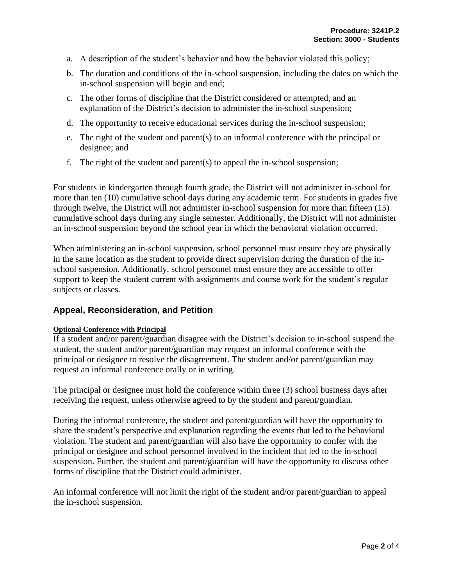- a. A description of the student's behavior and how the behavior violated this policy;
- b. The duration and conditions of the in-school suspension, including the dates on which the in-school suspension will begin and end;
- c. The other forms of discipline that the District considered or attempted, and an explanation of the District's decision to administer the in-school suspension;
- d. The opportunity to receive educational services during the in-school suspension;
- e. The right of the student and parent(s) to an informal conference with the principal or designee; and
- f. The right of the student and parent(s) to appeal the in-school suspension;

For students in kindergarten through fourth grade, the District will not administer in-school for more than ten (10) cumulative school days during any academic term. For students in grades five through twelve, the District will not administer in-school suspension for more than fifteen (15) cumulative school days during any single semester. Additionally, the District will not administer an in-school suspension beyond the school year in which the behavioral violation occurred.

When administering an in-school suspension, school personnel must ensure they are physically in the same location as the student to provide direct supervision during the duration of the inschool suspension. Additionally, school personnel must ensure they are accessible to offer support to keep the student current with assignments and course work for the student's regular subjects or classes.

## **Appeal, Reconsideration, and Petition**

#### **Optional Conference with Principal**

If a student and/or parent/guardian disagree with the District's decision to in-school suspend the student, the student and/or parent/guardian may request an informal conference with the principal or designee to resolve the disagreement. The student and/or parent/guardian may request an informal conference orally or in writing.

The principal or designee must hold the conference within three (3) school business days after receiving the request, unless otherwise agreed to by the student and parent/guardian.

During the informal conference, the student and parent/guardian will have the opportunity to share the student's perspective and explanation regarding the events that led to the behavioral violation. The student and parent/guardian will also have the opportunity to confer with the principal or designee and school personnel involved in the incident that led to the in-school suspension. Further, the student and parent/guardian will have the opportunity to discuss other forms of discipline that the District could administer.

An informal conference will not limit the right of the student and/or parent/guardian to appeal the in-school suspension.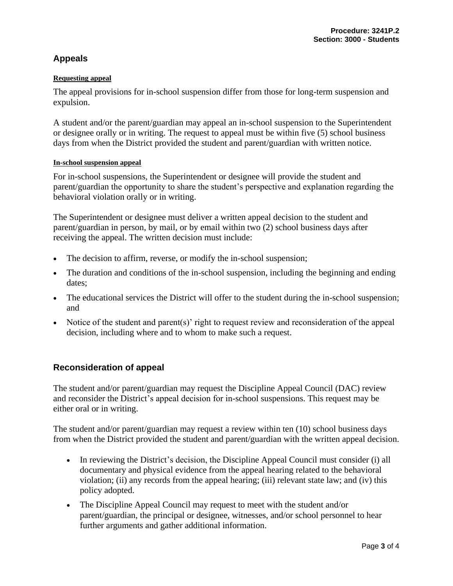# **Appeals**

### **Requesting appeal**

The appeal provisions for in-school suspension differ from those for long-term suspension and expulsion.

A student and/or the parent/guardian may appeal an in-school suspension to the Superintendent or designee orally or in writing. The request to appeal must be within five (5) school business days from when the District provided the student and parent/guardian with written notice.

#### **In-school suspension appeal**

For in-school suspensions, the Superintendent or designee will provide the student and parent/guardian the opportunity to share the student's perspective and explanation regarding the behavioral violation orally or in writing.

The Superintendent or designee must deliver a written appeal decision to the student and parent/guardian in person, by mail, or by email within two (2) school business days after receiving the appeal. The written decision must include:

- The decision to affirm, reverse, or modify the in-school suspension;
- The duration and conditions of the in-school suspension, including the beginning and ending dates;
- The educational services the District will offer to the student during the in-school suspension; and
- Notice of the student and parent(s)' right to request review and reconsideration of the appeal decision, including where and to whom to make such a request.

## **Reconsideration of appeal**

The student and/or parent/guardian may request the Discipline Appeal Council (DAC) review and reconsider the District's appeal decision for in-school suspensions. This request may be either oral or in writing.

The student and/or parent/guardian may request a review within ten (10) school business days from when the District provided the student and parent/guardian with the written appeal decision.

- In reviewing the District's decision, the Discipline Appeal Council must consider (i) all documentary and physical evidence from the appeal hearing related to the behavioral violation; (ii) any records from the appeal hearing; (iii) relevant state law; and (iv) this policy adopted.
- The Discipline Appeal Council may request to meet with the student and/or parent/guardian, the principal or designee, witnesses, and/or school personnel to hear further arguments and gather additional information.